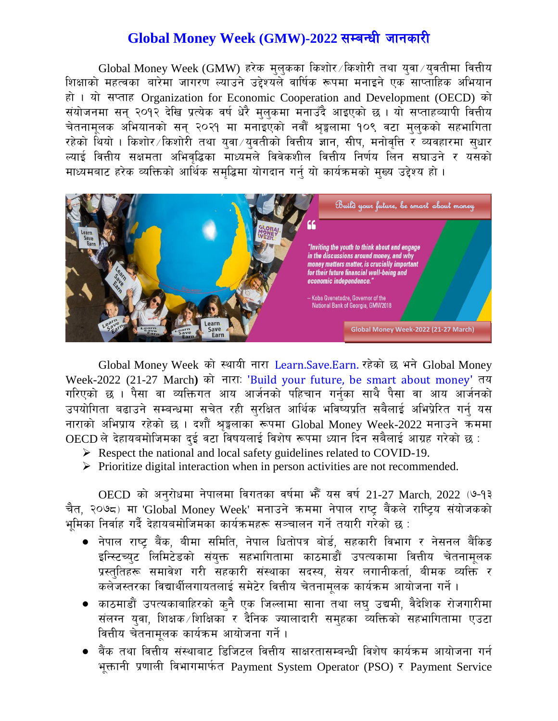## Global Money Week (GMW)-2022 सम्बन्धी जानकारी

 $G$ lobal Money Week ( $GMW$ ) हरेक मुलुकका किशोर /किशोरी तथा युवा /युवतीमा वित्तीय शिक्षाको महत्वका बारेमा जागरण ल्याउने उद्देश्यले वार्षिक रूपमा मनाइने एक साप्ताहिक अभियान हो । यो सप्ताह Organization for Economic Cooperation and Development (OECD) को संयोजनमा सन २०१२ देखि प्रत्येक वर्ष धेरै मलकमा मनाउँदै आइएको छ । यो सप्ताहव्यापी वित्तीय चेतनामुलक अभियानको सन् २०२१ मा मनाइएको नवौँ श्रङ्गलामा १०९ वटा मुलुकको सहभागिता रहेको थियो । किशोर $\sqrt$ किशोरी तथा युवा $\sqrt{2}$ वतीको वित्तीय ज्ञान, सीप, मनोवृत्ति र व्यवहारमा सधार ल्याई वित्तीय सक्षमता अभिवृद्धिका माध्यमले विवेकशील वित्तीय निर्णय लिन सघाउने र यसको माध्यमबाट हरेक व्यक्तिको आर्थिक समृद्धिमा योगदान गर्नु यो कार्यक्रमको मुख्य उद्देश्य हो ।



Global Money Week को स्थायी नारा Learn.Save.Earn. रहेको छ भने Global Money Week-2022 (21-27 March) को नारा: 'Build your future, be smart about money' तय गरिएको छ । पैसा वा व्यक्तिगत आय आर्जनको पहिचान गर्नुका साथै पैसा वा आय आर्जनको उपयोगिता बढाउने सम्बन्धमा सचेत रही सुरक्षित आर्थिक भविष्यप्रति सबैलाई अभिप्रेरित गर्न् यस नाराको अभिप्राय रहेको छ । दशौँ श्रङ्मलाका रूपमा Global Money Week-2022 मनाउने कममा  $\overline{\text{OECD}}$  ले देहायबमोजिमका दई वटा विषयलाई विशेष रूपमा ध्यान दिन सबैलाई आग्रह गरेको छ :

- $\triangleright$  Respect the national and local safety guidelines related to COVID-19.
- $\triangleright$  Prioritize digital interaction when in person activities are not recommended.

OECD को अनुरोधमा नेपालमा विगतका वर्षमा भेँ यस वर्ष 21-27 March, 2022 (७-१३ चैत, २०७८) मा 'Global Money Week' मनाउने कममा नेपाल राष्ट्र बैंकले राष्ट्रिय संयोजकको भमिका निर्वाह गर्दै देहायबमोजिमका कार्यक्रमहरू सञ्चालन गर्ने तयारी गरेको छ :

- नेपाल राष्ट्र बैंक, बीमा समिति, नेपाल धितोपत्र बोर्ड, सहकारी विभाग र नेसनल बैंकिङ इन्स्टिच्युट लिमिटेडको संयुक्त सहभागितामा काठमाडौं उपत्यकामा वित्तीय चेतनामुलक प्रस्तुतिहरू समावेश गरी सहकारी संस्थाका सदस्य, सेयर लगानीकर्ता, बीमक व्यक्ति *र* कलेजस्तरका विद्यार्थीलगायतलाई समेटेर वित्तीय चेतनामलक कार्यक्रम आयोजना गर्ने ।
- $\bullet$  काठमाडौं उपत्यकाबाहिरको क्नै एक जिल्लामा साना तथा लघु उद्यमी, वैदेशिक रोजगारीमा संलग्न युवा, शिक्षक शिक्षिका र दैनिक ज्यालादारी समुहका व्यक्तिको सहभागितामा एउटा वित्तीय चेतनामूलक कार्यक्रम आयोजना गर्ने ।
- $\bullet$  बैंक तथा वित्तीय संस्थाबाट डिजिटल वित्तीय साक्षरतासम्बन्धी विशेष कार्यक्रम आयोजना गर्न भक्तानी प्रणाली विभागमार्फत Payment System Operator (PSO) र Payment Service